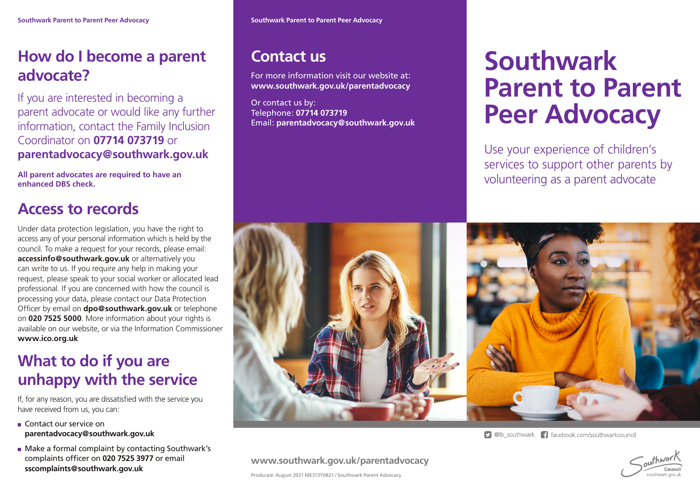## **How do I become a parent advocate?**

If you are interested in becoming a parent advocate or would like any further information, contact the Family Inclusion Coordinator on **07714 073719** or **parentadvocacy@southwark.gov.uk**

**All parent advocates are required to have an enhanced DBS check.**

## **Access to records**

Under data protection legislation, you have the right to access any of your personal information which is held by the council. To make a request for your records, please email: **accessinfo@southwark.gov.uk** or alternatively you can write to us. If you require any help in making your request, please speak to your social worker or allocated lead professional. If you are concerned with how the council is processing your data, please contact our Data Protection Officer by email on **dpo@southwark.gov.uk** or telephone on **020 7525 5000**. More information about your rights is available on our website, or via the Information Commissioner **www.ico.org.uk**

#### **What to do if you are unhappy with the service**

If, for any reason, you are dissatisfied with the service you have received from us, you can:

- Contact our service on **parentadvocacy@southwark.gov.uk**
- **Make a formal complaint by contacting Southwark's** complaints officer on **020 7525 3977** or email **sscomplaints@southwark.gov.uk**

#### **Contact us**

For more information visit our website at: **www.southwark.gov.uk/parentadvocacy**

Or contact us by: Telephone: **07714 073719** Email: **parentadvocacy@southwark.gov.uk**

# **Southwark Parent to Parent Peer Advocacy**

Use your experience of children's services to support other parents by volunteering as a parent advocate



**9** @lb southwark **f** facebook.com/southwarkcouncil



Produced: August 2021 ME313Y0821 / Southwark Parent Advocacy

**www.southwark.gov.uk/parentadvocacy**